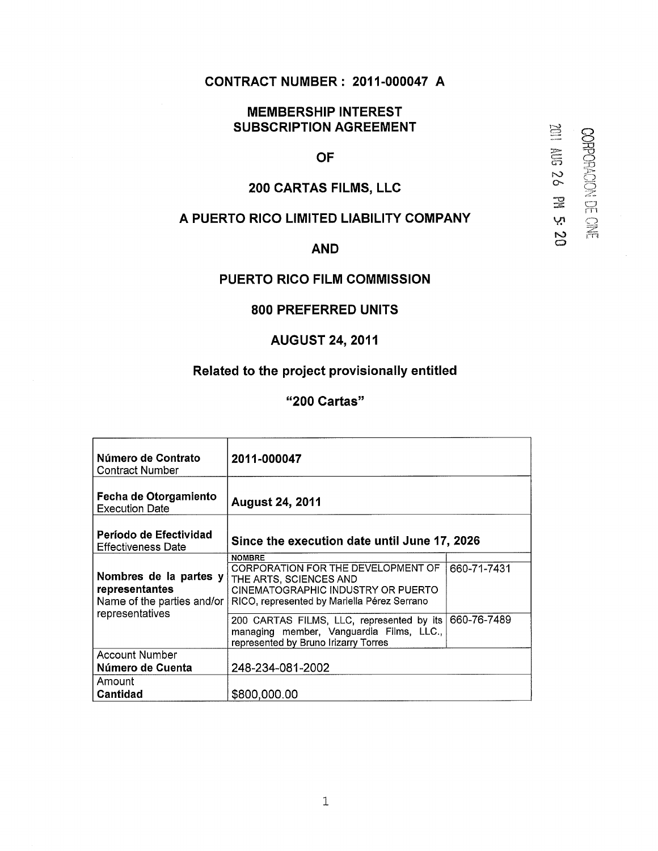#### **CONTRACT NUMBER : 2011-000047 A**

#### **MEMBERSHIP INTEREST SUBSCRIPTION AGREEMENT**

#### **OF**

*cz*  ro **o**  -o

o  $\Xi$  $\subseteq$ 

**SOSS** 

。<br>异

**3**<br>**Fig. 2** 

**o** 

## **200 CARTAS FILMS, LLC**

# **A PUERTO RICO LIMITED LIABILITY COMPANY**

## **AND**

## **PUERTO RICO FILM COMMISSION**

### **800 PREFERRED UNITS**

# **AUGUST 24, 2011**

## **Related to the project provisionally entitled**

## **"200 Cartas"**

| Número de Contrato<br><b>Contract Number</b>                                                | 2011-000047                                                                                                                                                        |             |
|---------------------------------------------------------------------------------------------|--------------------------------------------------------------------------------------------------------------------------------------------------------------------|-------------|
| Fecha de Otorgamiento<br><b>Execution Date</b>                                              | <b>August 24, 2011</b>                                                                                                                                             |             |
| Período de Efectividad<br><b>Effectiveness Date</b>                                         | Since the execution date until June 17, 2026                                                                                                                       |             |
| Nombres de la partes $y$<br>representantes<br>Name of the parties and/or<br>representatives | <b>NOMBRE</b><br>CORPORATION FOR THE DEVELOPMENT OF<br>THE ARTS, SCIENCES AND<br>CINEMATOGRAPHIC INDUSTRY OR PUERTO<br>RICO, represented by Mariella Pérez Serrano | 660-71-7431 |
|                                                                                             | 200 CARTAS FILMS, LLC, represented by its<br>managing member, Vanguardia Films, LLC.,<br>represented by Bruno Irizarry Torres                                      | 660-76-7489 |
| Account Number<br>Número de Cuenta                                                          | 248-234-081-2002                                                                                                                                                   |             |
| Amount<br>Cantidad                                                                          | \$800,000.00                                                                                                                                                       |             |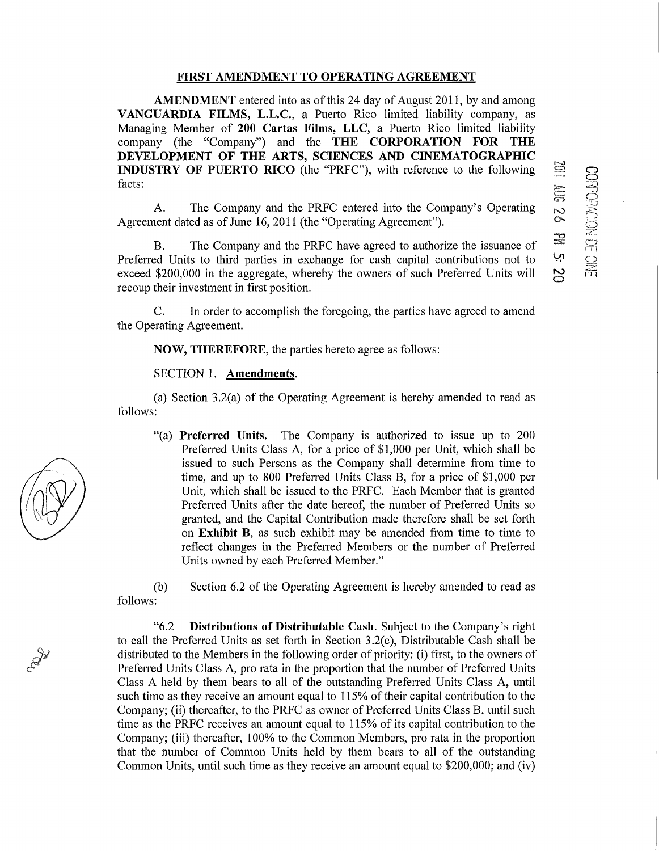#### **FIRST AMENDMENT TO OPERATING AGREEMENT**

**AMENDMENT** entered into as of this 24 day of August 2011, by and among **VANGUARDIA FILMS, L.L.C. ,** a Puerto Rico limited liability company, as Managing Member of **200 Cartas Films, LLC ,** a Puerto Rico limited liability company (the "Company") and the **THE CORPORATION FOR THE DEVELOPMENT OF THE ARTS, SCIENCES AND CINEMATOGRAPHIC INDUSTRY OF PUERTO RICO** (the "PRFC"), with reference to the following  $\Xi$   $\Xi$ facts:  $\sum_{n=1}^{\infty}$ 

*A.* The Company and the PRFC entered into the Company's Operating ^ Agreement dated as of June 16, 2011 (the "Operating Agreement").

B. The Company and the PRFC have agreed to authorize the issuance of  $\overrightarrow{SP}$  referred Units to third parties in exchange for cash capital contributions not to Preferred Units to third parties in exchange for cash capital contributions not to  $\frac{1}{2}$ exceed \$200,000 in the aggregate, whereby the owners of such Preferred Units will recoup their investment in first position.

C. In order to accomplish the foregoing, the parties have agreed to amend the Operating Agreement.

**NOW, THEREFORE,** the parties hereto agree as follows:

SECTION 1. **Amendments.** 

(a) Section 3.2(a) of the Operating Agreement is hereby amended to read as follows:

"(a) **Preferred Units.** The Company is authorized to issue up to 200 Preferred Units Class A, for a price of \$1,000 per Unit, which shall be issued to such Persons as the Company shall determine from time to time, and up to 800 Preferred Units Class B, for a price of \$1,000 per Unit, which shall be issued to the PRFC. Each Member that is granted Preferred Units after the date hereof, the number of Preferred Units so granted, and the Capital Contribution made therefore shall be set forth on **Exhibit B,** as such exhibit may be amended from time to time to reflect changes in the Preferred Members or the number of Preferred Units owned by each Preferred Member."

(b) Section 6.2 of the Operating Agreement is hereby amended to read as follows:

"6.2 **Distributions of Distributable Cash.** Subject to the Company's right to cali the Preferred Units as set forth in Section 3.2(c), Distributable Cash shall be distributed to the Members in the following order of priority: (i) first, to the owners of Preferred Units Class A, pro rata in the proportion that the number of Preferred Units Class A held by them bears to all of the outstanding Preferred Units Class A, until such time as they receive an amount equal to 115% of their capital contribution to the Company; (ii) thereafter, to the PRFC as owner of Preferred Units Class B, until such time as the PRFC receives an amount equal to 115% of its capital contribution to the Company; (iii) thereafter, 100% to the Common Members, pro rata in the proportion that the number of Common Units held by them bears to all of the outstanding Common Units, until such time as they receive an amount equal to \$200,000; and (iv)



RAY

 $\mathbb{S}$ **Red 92 9m 102** CORPORACION DE CINE